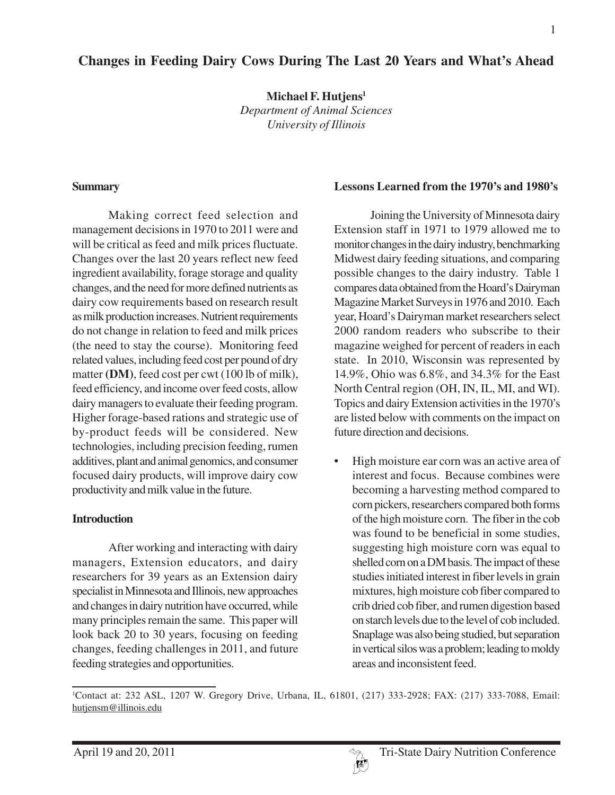# **Changes in Feeding Dairy Cows During The Last 20 Years and What's Ahead**

**Michael F. Hutjens1** *Department of Animal Sciences University of Illinois*

#### **Summary**

Making correct feed selection and management decisions in 1970 to 2011 were and will be critical as feed and milk prices fluctuate. Changes over the last 20 years reflect new feed ingredient availability, forage storage and quality changes, and the need for more defined nutrients as dairy cow requirements based on research result as milk production increases. Nutrient requirements do not change in relation to feed and milk prices (the need to stay the course). Monitoring feed related values, including feed cost per pound of dry matter **(DM)**, feed cost per cwt (100 lb of milk), feed efficiency, and income over feed costs, allow dairy managers to evaluate their feeding program. Higher forage-based rations and strategic use of by-product feeds will be considered. New technologies, including precision feeding, rumen additives, plant and animal genomics, and consumer focused dairy products, will improve dairy cow productivity and milk value in the future.

#### **Introduction**

After working and interacting with dairy managers, Extension educators, and dairy researchers for 39 years as an Extension dairy specialist in Minnesota and Illinois, new approaches and changes in dairy nutrition have occurred, while many principles remain the same. This paper will look back 20 to 30 years, focusing on feeding changes, feeding challenges in 2011, and future feeding strategies and opportunities.

#### **Lessons Learned from the 1970's and 1980's**

Joining the University of Minnesota dairy Extension staff in 1971 to 1979 allowed me to monitor changes in the dairy industry, benchmarking Midwest dairy feeding situations, and comparing possible changes to the dairy industry. Table 1 compares data obtained from the Hoard's Dairyman Magazine Market Surveys in 1976 and 2010. Each year, Hoard's Dairyman market researchers select 2000 random readers who subscribe to their magazine weighed for percent of readers in each state. In 2010, Wisconsin was represented by 14.9%, Ohio was 6.8%, and 34.3% for the East North Central region (OH, IN, IL, MI, and WI). Topics and dairy Extension activities in the 1970's are listed below with comments on the impact on future direction and decisions.

• High moisture ear corn was an active area of interest and focus. Because combines were becoming a harvesting method compared to corn pickers, researchers compared both forms of the high moisture corn. The fiber in the cob was found to be beneficial in some studies, suggesting high moisture corn was equal to shelled corn on a DM basis. The impact of these studies initiated interest in fiber levels in grain mixtures, high moisture cob fiber compared to crib dried cob fiber, and rumen digestion based on starch levels due to the level of cob included. Snaplage was also being studied, but separation in vertical silos was a problem; leading to moldy areas and inconsistent feed.

<sup>1</sup> Contact at: 232 ASL, 1207 W. Gregory Drive, Urbana, IL, 61801, (217) 333-2928; FAX: (217) 333-7088, Email: hutjensm@illinois.edu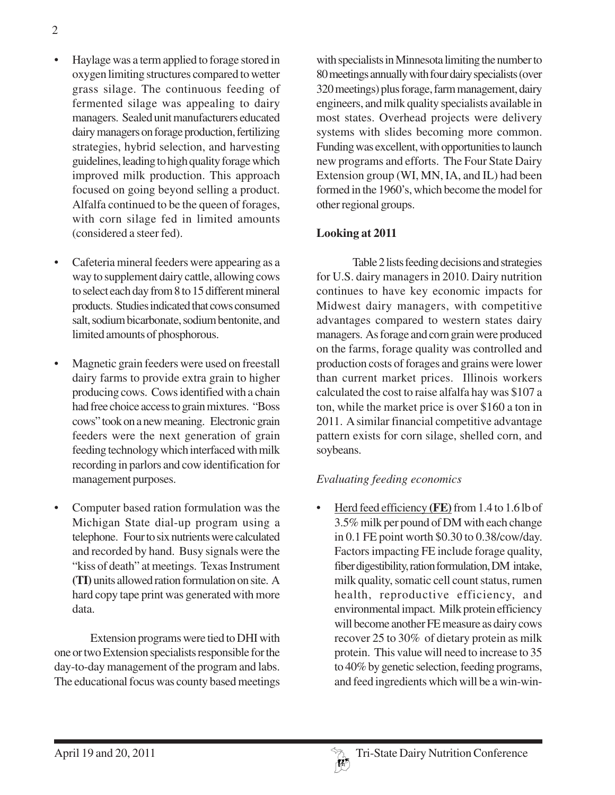- Haylage was a term applied to forage stored in oxygen limiting structures compared to wetter grass silage. The continuous feeding of fermented silage was appealing to dairy managers. Sealed unit manufacturers educated dairy managers on forage production, fertilizing strategies, hybrid selection, and harvesting guidelines, leading to high quality forage which improved milk production. This approach focused on going beyond selling a product. Alfalfa continued to be the queen of forages, with corn silage fed in limited amounts (considered a steer fed).
- Cafeteria mineral feeders were appearing as a way to supplement dairy cattle, allowing cows to select each day from 8 to 15 different mineral products. Studies indicated that cows consumed salt, sodium bicarbonate, sodium bentonite, and limited amounts of phosphorous.
- Magnetic grain feeders were used on freestall dairy farms to provide extra grain to higher producing cows. Cows identified with a chain had free choice access to grain mixtures. "Boss cows" took on a new meaning. Electronic grain feeders were the next generation of grain feeding technology which interfaced with milk recording in parlors and cow identification for management purposes.
- Computer based ration formulation was the Michigan State dial-up program using a telephone. Four to six nutrients were calculated and recorded by hand. Busy signals were the "kiss of death" at meetings. Texas Instrument **(TI)** units allowed ration formulation on site. A hard copy tape print was generated with more data.

Extension programs were tied to DHI with one or two Extension specialists responsible for the day-to-day management of the program and labs. The educational focus was county based meetings

with specialists in Minnesota limiting the number to 80 meetings annually with four dairy specialists (over 320 meetings) plus forage, farm management, dairy engineers, and milk quality specialists available in most states. Overhead projects were delivery systems with slides becoming more common. Funding was excellent, with opportunities to launch new programs and efforts. The Four State Dairy Extension group (WI, MN, IA, and IL) had been formed in the 1960's, which become the model for other regional groups.

## **Looking at 2011**

Table 2 lists feeding decisions and strategies for U.S. dairy managers in 2010. Dairy nutrition continues to have key economic impacts for Midwest dairy managers, with competitive advantages compared to western states dairy managers. As forage and corn grain were produced on the farms, forage quality was controlled and production costs of forages and grains were lower than current market prices. Illinois workers calculated the cost to raise alfalfa hay was \$107 a ton, while the market price is over \$160 a ton in 2011. A similar financial competitive advantage pattern exists for corn silage, shelled corn, and soybeans.

## *Evaluating feeding economics*

• Herd feed efficiency **(FE)** from 1.4 to 1.6 lb of 3.5% milk per pound of DM with each change in 0.1 FE point worth \$0.30 to 0.38/cow/day. Factors impacting FE include forage quality, fiber digestibility, ration formulation, DM intake, milk quality, somatic cell count status, rumen health, reproductive efficiency, and environmental impact. Milk protein efficiency will become another FE measure as dairy cows recover 25 to 30% of dietary protein as milk protein. This value will need to increase to 35 to 40% by genetic selection, feeding programs, and feed ingredients which will be a win-win-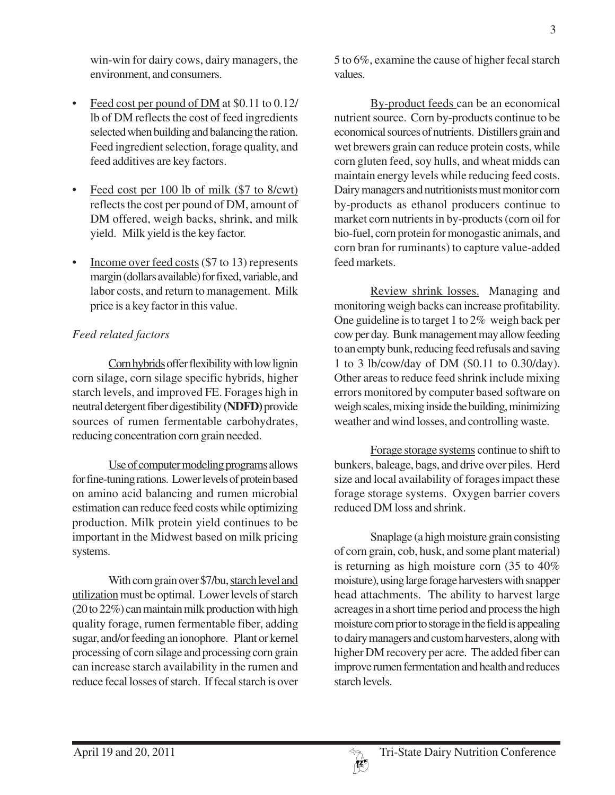win-win for dairy cows, dairy managers, the environment, and consumers.

- Feed cost per pound of DM at \$0.11 to 0.12/ lb of DM reflects the cost of feed ingredients selected when building and balancing the ration. Feed ingredient selection, forage quality, and feed additives are key factors.
- Feed cost per 100 lb of milk (\$7 to 8/cwt) reflects the cost per pound of DM, amount of DM offered, weigh backs, shrink, and milk yield. Milk yield is the key factor.
- Income over feed costs (\$7 to 13) represents margin (dollars available) for fixed, variable, and labor costs, and return to management. Milk price is a key factor in this value.

# *Feed related factors*

Corn hybrids offer flexibility with low lignin corn silage, corn silage specific hybrids, higher starch levels, and improved FE. Forages high in neutral detergent fiber digestibility **(NDFD)** provide sources of rumen fermentable carbohydrates, reducing concentration corn grain needed.

Use of computer modeling programs allows for fine-tuning rations. Lower levels of protein based on amino acid balancing and rumen microbial estimation can reduce feed costs while optimizing production. Milk protein yield continues to be important in the Midwest based on milk pricing systems.

With corn grain over \$7/bu, starch level and utilization must be optimal. Lower levels of starch (20 to 22%) can maintain milk production with high quality forage, rumen fermentable fiber, adding sugar, and/or feeding an ionophore. Plant or kernel processing of corn silage and processing corn grain can increase starch availability in the rumen and reduce fecal losses of starch. If fecal starch is over

5 to 6%, examine the cause of higher fecal starch values.

By-product feeds can be an economical nutrient source. Corn by-products continue to be economical sources of nutrients. Distillers grain and wet brewers grain can reduce protein costs, while corn gluten feed, soy hulls, and wheat midds can maintain energy levels while reducing feed costs. Dairy managers and nutritionists must monitor corn by-products as ethanol producers continue to market corn nutrients in by-products (corn oil for bio-fuel, corn protein for monogastic animals, and corn bran for ruminants) to capture value-added feed markets.

Review shrink losses. Managing and monitoring weigh backs can increase profitability. One guideline is to target 1 to 2% weigh back per cow per day. Bunk management may allow feeding to an empty bunk, reducing feed refusals and saving 1 to 3 lb/cow/day of DM (\$0.11 to 0.30/day). Other areas to reduce feed shrink include mixing errors monitored by computer based software on weigh scales, mixing inside the building, minimizing weather and wind losses, and controlling waste.

Forage storage systems continue to shift to bunkers, baleage, bags, and drive over piles. Herd size and local availability of forages impact these forage storage systems. Oxygen barrier covers reduced DM loss and shrink.

Snaplage (a high moisture grain consisting of corn grain, cob, husk, and some plant material) is returning as high moisture corn (35 to 40% moisture), using large forage harvesters with snapper head attachments. The ability to harvest large acreages in a short time period and process the high moisture corn prior to storage in the field is appealing to dairy managers and custom harvesters, along with higher DM recovery per acre. The added fiber can improve rumen fermentation and health and reduces starch levels.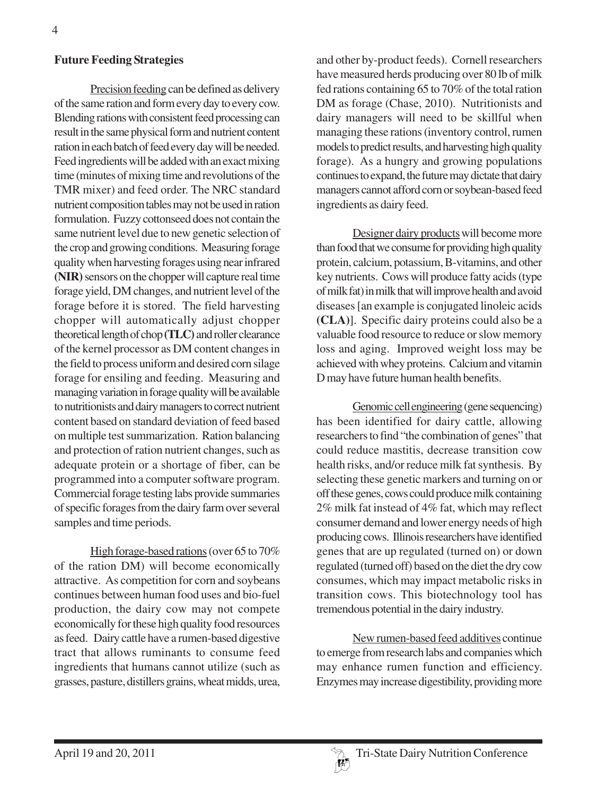#### **Future Feeding Strategies**

Precision feeding can be defined as delivery of the same ration and form every day to every cow. Blending rations with consistent feed processing can result in the same physical form and nutrient content ration in each batch of feed every day will be needed. Feed ingredients will be added with an exact mixing time (minutes of mixing time and revolutions of the TMR mixer) and feed order. The NRC standard nutrient composition tables may not be used in ration formulation. Fuzzy cottonseed does not contain the same nutrient level due to new genetic selection of the crop and growing conditions. Measuring forage quality when harvesting forages using near infrared **(NIR)** sensors on the chopper will capture real time forage yield, DM changes, and nutrient level of the forage before it is stored. The field harvesting chopper will automatically adjust chopper theoretical length of chop **(TLC)** and roller clearance of the kernel processor as DM content changes in the field to process uniform and desired corn silage forage for ensiling and feeding. Measuring and managing variation in forage quality will be available to nutritionists and dairy managers to correct nutrient content based on standard deviation of feed based on multiple test summarization. Ration balancing and protection of ration nutrient changes, such as adequate protein or a shortage of fiber, can be programmed into a computer software program. Commercial forage testing labs provide summaries of specific forages from the dairy farm over several samples and time periods.

High forage-based rations (over 65 to 70% of the ration DM) will become economically attractive.As competition for corn and soybeans continues between human food uses and bio-fuel production, the dairy cow may not compete economically for these high quality food resources as feed. Dairy cattle have a rumen-based digestive tract that allows ruminants to consume feed ingredients that humans cannot utilize (such as grasses, pasture, distillers grains, wheat midds, urea,

and other by-product feeds). Cornell researchers have measured herds producing over 80 lb of milk fed rations containing 65 to 70% of the total ration DM as forage (Chase, 2010). Nutritionists and dairy managers will need to be skillful when managing these rations (inventory control, rumen models to predict results, and harvesting high quality forage). As a hungry and growing populations continues to expand, the future may dictate that dairy managers cannot afford corn or soybean-based feed ingredients as dairy feed.

Designer dairy products will become more than food that we consume for providing high quality protein, calcium, potassium, B-vitamins, and other key nutrients. Cows will produce fatty acids (type of milk fat) in milk that will improve health and avoid diseases [an example is conjugated linoleic acids **(CLA)**]. Specific dairy proteins could also be a valuable food resource to reduce or slow memory loss and aging. Improved weight loss may be achieved with whey proteins. Calcium and vitamin D may have future human health benefits.

Genomic cell engineering (gene sequencing) has been identified for dairy cattle, allowing researchers to find "the combination of genes" that could reduce mastitis, decrease transition cow health risks, and/or reduce milk fat synthesis. By selecting these genetic markers and turning on or off these genes, cows could produce milk containing 2% milk fat instead of 4% fat, which may reflect consumer demand and lower energy needs of high producing cows. Illinois researchers have identified genes that are up regulated (turned on) or down regulated (turned off) based on the diet the dry cow consumes, which may impact metabolic risks in transition cows. This biotechnology tool has tremendous potential in the dairy industry.

New rumen-based feed additives continue to emerge from research labs and companies which may enhance rumen function and efficiency. Enzymes may increase digestibility, providing more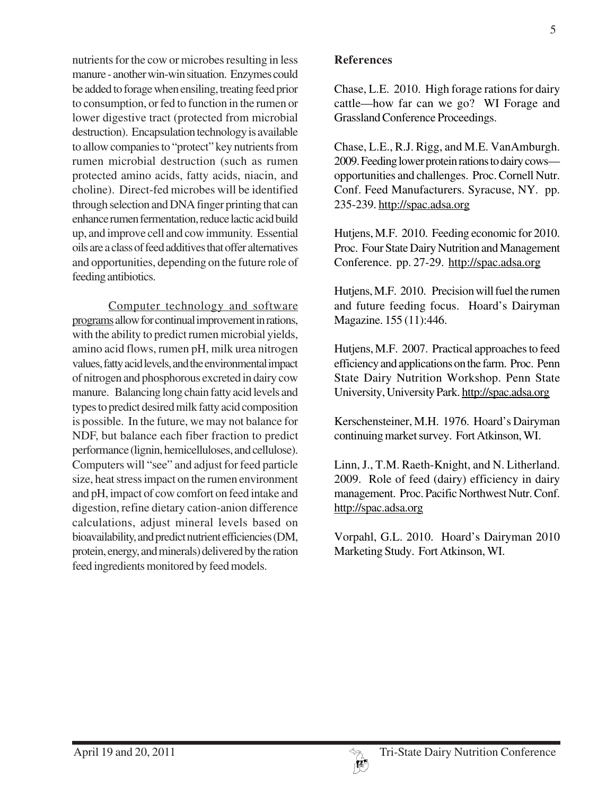nutrients for the cow or microbes resulting in less manure - another win-win situation. Enzymes could be added to forage when ensiling, treating feed prior to consumption, or fed to function in the rumen or lower digestive tract (protected from microbial destruction). Encapsulation technology is available to allow companies to "protect" key nutrients from rumen microbial destruction (such as rumen protected amino acids, fatty acids, niacin, and choline). Direct-fed microbes will be identified through selection and DNA finger printing that can enhance rumen fermentation, reduce lactic acid build up, and improve cell and cow immunity. Essential oils are a class of feed additives that offer alternatives and opportunities, depending on the future role of feeding antibiotics.

Computer technology and software programs allow for continual improvement in rations, with the ability to predict rumen microbial yields, amino acid flows, rumen pH, milk urea nitrogen values, fatty acid levels, and the environmental impact of nitrogen and phosphorous excreted in dairy cow manure. Balancing long chain fatty acid levels and types to predict desired milk fatty acid composition is possible. In the future, we may not balance for NDF, but balance each fiber fraction to predict performance (lignin, hemicelluloses, and cellulose). Computers will "see" and adjust for feed particle size, heat stress impact on the rumen environment and pH, impact of cow comfort on feed intake and digestion, refine dietary cation-anion difference calculations, adjust mineral levels based on bioavailability, and predict nutrient efficiencies (DM, protein, energy, and minerals) delivered by the ration feed ingredients monitored by feed models.

### **References**

Chase, L.E. 2010. High forage rations for dairy cattle—how far can we go? WI Forage and Grassland Conference Proceedings.

Chase, L.E., R.J. Rigg, and M.E. VanAmburgh. 2009. Feeding lower protein rations to dairy cows opportunities and challenges. Proc. Cornell Nutr. Conf. Feed Manufacturers. Syracuse, NY. pp. 235-239. http://spac.adsa.org

Hutjens, M.F. 2010. Feeding economic for 2010. Proc. Four State Dairy Nutrition and Management Conference. pp. 27-29. http://spac.adsa.org

Hutjens, M.F. 2010. Precision will fuel the rumen and future feeding focus. Hoard's Dairyman Magazine. 155 (11):446.

Hutjens, M.F. 2007. Practical approaches to feed efficiency and applications on the farm. Proc. Penn State Dairy Nutrition Workshop. Penn State University, University Park. http://spac.adsa.org

Kerschensteiner, M.H. 1976. Hoard's Dairyman continuing market survey. Fort Atkinson, WI.

Linn, J., T.M. Raeth-Knight, and N. Litherland. 2009. Role of feed (dairy) efficiency in dairy management. Proc. Pacific Northwest Nutr. Conf. http://spac.adsa.org

Vorpahl, G.L. 2010. Hoard's Dairyman 2010 Marketing Study. Fort Atkinson, WI.

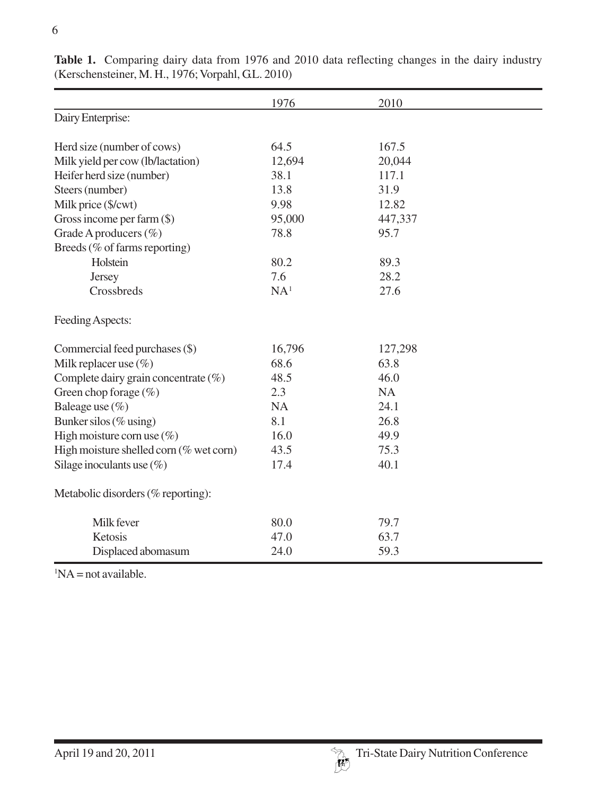|                                         | 1976            | 2010      |
|-----------------------------------------|-----------------|-----------|
| Dairy Enterprise:                       |                 |           |
|                                         |                 |           |
| Herd size (number of cows)              | 64.5            | 167.5     |
| Milk yield per cow (lb/lactation)       | 12,694          | 20,044    |
| Heifer herd size (number)               | 38.1            | 117.1     |
| Steers (number)                         | 13.8            | 31.9      |
| Milk price (\$/cwt)                     | 9.98            | 12.82     |
| Gross income per farm $(\$)$            | 95,000          | 447,337   |
| Grade A producers $(\%)$                | 78.8            | 95.7      |
| Breeds (% of farms reporting)           |                 |           |
| Holstein                                | 80.2            | 89.3      |
| Jersey                                  | 7.6             | 28.2      |
| Crossbreds                              | NA <sup>1</sup> | 27.6      |
| Feeding Aspects:                        |                 |           |
| Commercial feed purchases (\$)          | 16,796          | 127,298   |
| Milk replacer use $(\%)$                | 68.6            | 63.8      |
| Complete dairy grain concentrate $(\%)$ | 48.5            | 46.0      |
| Green chop forage $(\%)$                | 2.3             | <b>NA</b> |
| Baleage use (%)                         | <b>NA</b>       | 24.1      |
| Bunker silos ( $\%$ using)              | 8.1             | 26.8      |
| High moisture corn use $(\%)$           | 16.0            | 49.9      |
| High moisture shelled corn (% wet corn) | 43.5            | 75.3      |
| Silage inoculants use $(\%)$            | 17.4            | 40.1      |
| Metabolic disorders (% reporting):      |                 |           |
| Milk fever                              | 80.0            | 79.7      |
| Ketosis                                 | 47.0            | 63.7      |
| Displaced abomasum                      | 24.0            | 59.3      |

**Table 1.** Comparing dairy data from 1976 and 2010 data reflecting changes in the dairy industry (Kerschensteiner, M. H., 1976; Vorpahl, G.L. 2010)

 ${}^{1}NA$  = not available.